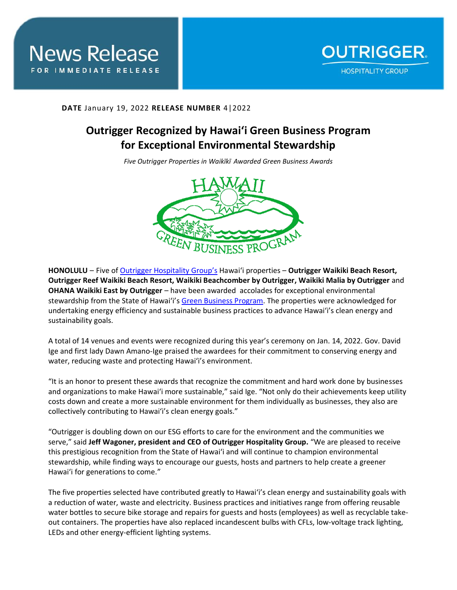

## **DATE** January 19, 2022 **RELEASE NUMBER** 4|2022

## **Outrigger Recognized by Hawai'i Green Business Program for Exceptional Environmental Stewardship**

*Five Outrigger Properties in Waikīkī Awarded Green Business Awards*



**HONOLULU** – Five of Outrigger [Hospitality Group](https://www.outrigger.com/)'s Hawai'i properties – **Outrigger Waikiki Beach Resort, Outrigger Reef Waikiki Beach Resort, Waikiki Beachcomber by Outrigger, Waikiki Malia by Outrigger** and **OHANA Waikiki East by Outrigger** – have been awarded accolades for exceptional environmental stewardship from the State of Hawai'i's [Green Business Program.](https://greenbusiness.hawaii.gov/) The properties were acknowledged for undertaking energy efficiency and sustainable business practices to advance Hawai'i's clean energy and sustainability goals.

A total of 14 venues and events were recognized during this year's ceremony on Jan. 14, 2022. Gov. David Ige and first lady Dawn Amano-Ige praised the awardees for their commitment to conserving energy and water, reducing waste and protecting Hawai'i's environment.

"It is an honor to present these awards that recognize the commitment and hard work done by businesses and organizations to make Hawai'i more sustainable," said Ige. "Not only do their achievements keep utility costs down and create a more sustainable environment for them individually as businesses, they also are collectively contributing to Hawai'i's clean energy goals."

"Outrigger is doubling down on our ESG efforts to care for the environment and the communities we serve," said **Jeff Wagoner, president and CEO of Outrigger Hospitality Group.** "We are pleased to receive this prestigious recognition from the State of Hawai'i and will continue to champion environmental stewardship, while finding ways to encourage our guests, hosts and partners to help create a greener Hawai'i for generations to come."

The five properties selected have contributed greatly to Hawai'i's clean energy and sustainability goals with a reduction of water, waste and electricity. Business practices and initiatives range from offering reusable water bottles to secure bike storage and repairs for guests and hosts (employees) as well as recyclable takeout containers. The properties have also replaced incandescent bulbs with CFLs, low-voltage track lighting, LEDs and other energy-efficient lighting systems.